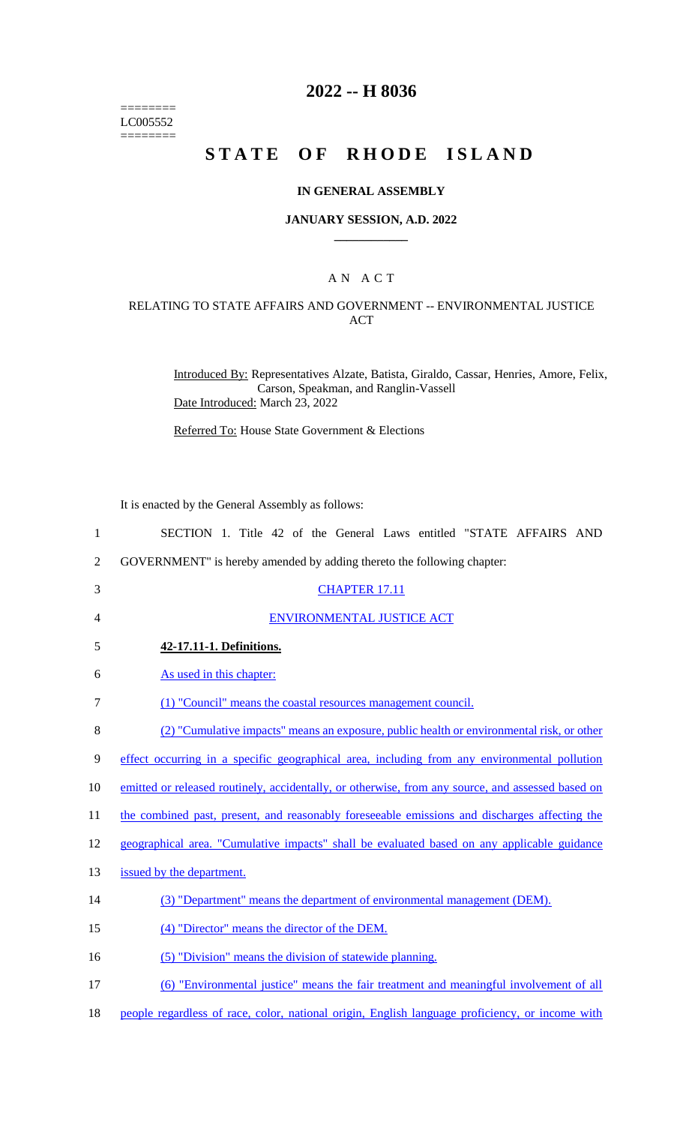======== LC005552 ========

# **2022 -- H 8036**

# **STATE OF RHODE ISLAND**

### **IN GENERAL ASSEMBLY**

### **JANUARY SESSION, A.D. 2022 \_\_\_\_\_\_\_\_\_\_\_\_**

## A N A C T

### RELATING TO STATE AFFAIRS AND GOVERNMENT -- ENVIRONMENTAL JUSTICE ACT

Introduced By: Representatives Alzate, Batista, Giraldo, Cassar, Henries, Amore, Felix, Carson, Speakman, and Ranglin-Vassell Date Introduced: March 23, 2022

Referred To: House State Government & Elections

It is enacted by the General Assembly as follows:

| $\mathbf{1}$   | SECTION 1. Title 42 of the General Laws entitled "STATE AFFAIRS AND                               |
|----------------|---------------------------------------------------------------------------------------------------|
| $\overline{2}$ | GOVERNMENT" is hereby amended by adding thereto the following chapter:                            |
| 3              | <b>CHAPTER 17.11</b>                                                                              |
| 4              | <b>ENVIRONMENTAL JUSTICE ACT</b>                                                                  |
| 5              | 42-17.11-1. Definitions.                                                                          |
| 6              | As used in this chapter:                                                                          |
| 7              | (1) "Council" means the coastal resources management council.                                     |
| $8\,$          | (2) "Cumulative impacts" means an exposure, public health or environmental risk, or other         |
| 9              | effect occurring in a specific geographical area, including from any environmental pollution      |
| 10             | emitted or released routinely, accidentally, or otherwise, from any source, and assessed based on |
| 11             | the combined past, present, and reasonably foreseeable emissions and discharges affecting the     |
| 12             | geographical area. "Cumulative impacts" shall be evaluated based on any applicable guidance       |
| 13             | issued by the department.                                                                         |
| 14             | (3) "Department" means the department of environmental management (DEM).                          |
| 15             | (4) "Director" means the director of the DEM.                                                     |
| 16             | (5) "Division" means the division of statewide planning.                                          |
| 17             | (6) "Environmental justice" means the fair treatment and meaningful involvement of all            |

18 people regardless of race, color, national origin, English language proficiency, or income with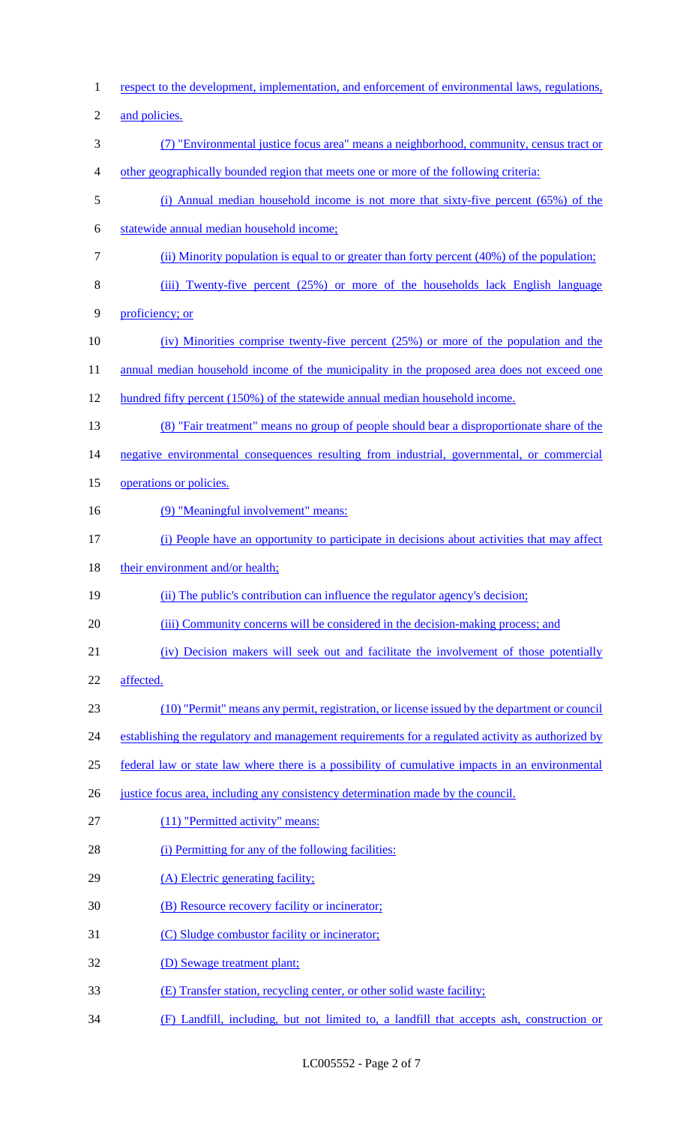respect to the development, implementation, and enforcement of environmental laws, regulations, 2 and policies. (7) "Environmental justice focus area" means a neighborhood, community, census tract or other geographically bounded region that meets one or more of the following criteria: (i) Annual median household income is not more that sixty-five percent (65%) of the statewide annual median household income; (ii) Minority population is equal to or greater than forty percent (40%) of the population; (iii) Twenty-five percent (25%) or more of the households lack English language proficiency; or (iv) Minorities comprise twenty-five percent (25%) or more of the population and the 11 annual median household income of the municipality in the proposed area does not exceed one hundred fifty percent (150%) of the statewide annual median household income. (8) "Fair treatment" means no group of people should bear a disproportionate share of the 14 negative environmental consequences resulting from industrial, governmental, or commercial 15 operations or policies. 16 (9) "Meaningful involvement" means: (i) People have an opportunity to participate in decisions about activities that may affect 18 their environment and/or health; (ii) The public's contribution can influence the regulator agency's decision; 20 (iii) Community concerns will be considered in the decision-making process; and (iv) Decision makers will seek out and facilitate the involvement of those potentially affected. (10) "Permit" means any permit, registration, or license issued by the department or council 24 establishing the regulatory and management requirements for a regulated activity as authorized by federal law or state law where there is a possibility of cumulative impacts in an environmental 26 justice focus area, including any consistency determination made by the council. (11) "Permitted activity" means: 28 (i) Permitting for any of the following facilities: 29 (A) Electric generating facility; 30 (B) Resource recovery facility or incinerator; (C) Sludge combustor facility or incinerator; (D) Sewage treatment plant; (E) Transfer station, recycling center, or other solid waste facility; (F) Landfill, including, but not limited to, a landfill that accepts ash, construction or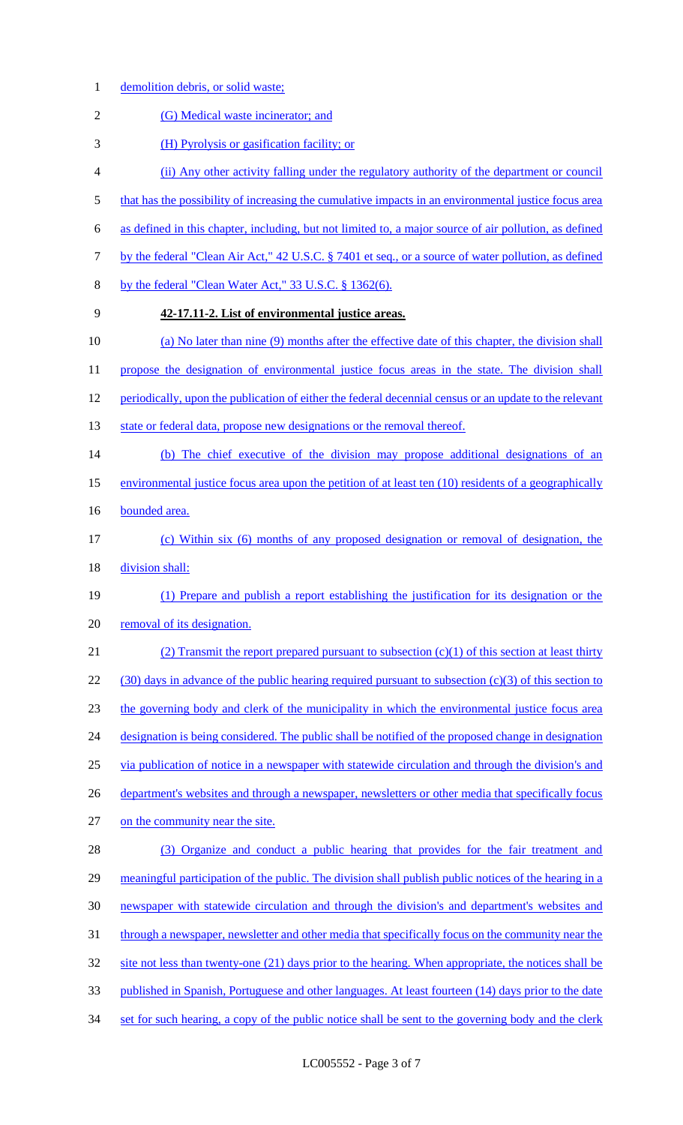- demolition debris, or solid waste;
- 2 (G) Medical waste incinerator; and
- (H) Pyrolysis or gasification facility; or
- (ii) Any other activity falling under the regulatory authority of the department or council
- 5 that has the possibility of increasing the cumulative impacts in an environmental justice focus area
- as defined in this chapter, including, but not limited to, a major source of air pollution, as defined
- by the federal "Clean Air Act," 42 U.S.C. § 7401 et seq., or a source of water pollution, as defined
- by the federal "Clean Water Act," 33 U.S.C. § 1362(6).
- 

# **42-17.11-2. List of environmental justice areas.**

(a) No later than nine (9) months after the effective date of this chapter, the division shall

11 propose the designation of environmental justice focus areas in the state. The division shall

- periodically, upon the publication of either the federal decennial census or an update to the relevant
- 13 state or federal data, propose new designations or the removal thereof.
- (b) The chief executive of the division may propose additional designations of an
- environmental justice focus area upon the petition of at least ten (10) residents of a geographically
- 16 bounded area.
- (c) Within six (6) months of any proposed designation or removal of designation, the 18 division shall:
- (1) Prepare and publish a report establishing the justification for its designation or the removal of its designation.
- (2) Transmit the report prepared pursuant to subsection (c)(1) of this section at least thirty (30) days in advance of the public hearing required pursuant to subsection (c)(3) of this section to the governing body and clerk of the municipality in which the environmental justice focus area 24 designation is being considered. The public shall be notified of the proposed change in designation via publication of notice in a newspaper with statewide circulation and through the division's and 26 department's websites and through a newspaper, newsletters or other media that specifically focus on the community near the site.

 (3) Organize and conduct a public hearing that provides for the fair treatment and meaningful participation of the public. The division shall publish public notices of the hearing in a newspaper with statewide circulation and through the division's and department's websites and 31 through a newspaper, newsletter and other media that specifically focus on the community near the 32 site not less than twenty-one (21) days prior to the hearing. When appropriate, the notices shall be published in Spanish, Portuguese and other languages. At least fourteen (14) days prior to the date 34 set for such hearing, a copy of the public notice shall be sent to the governing body and the clerk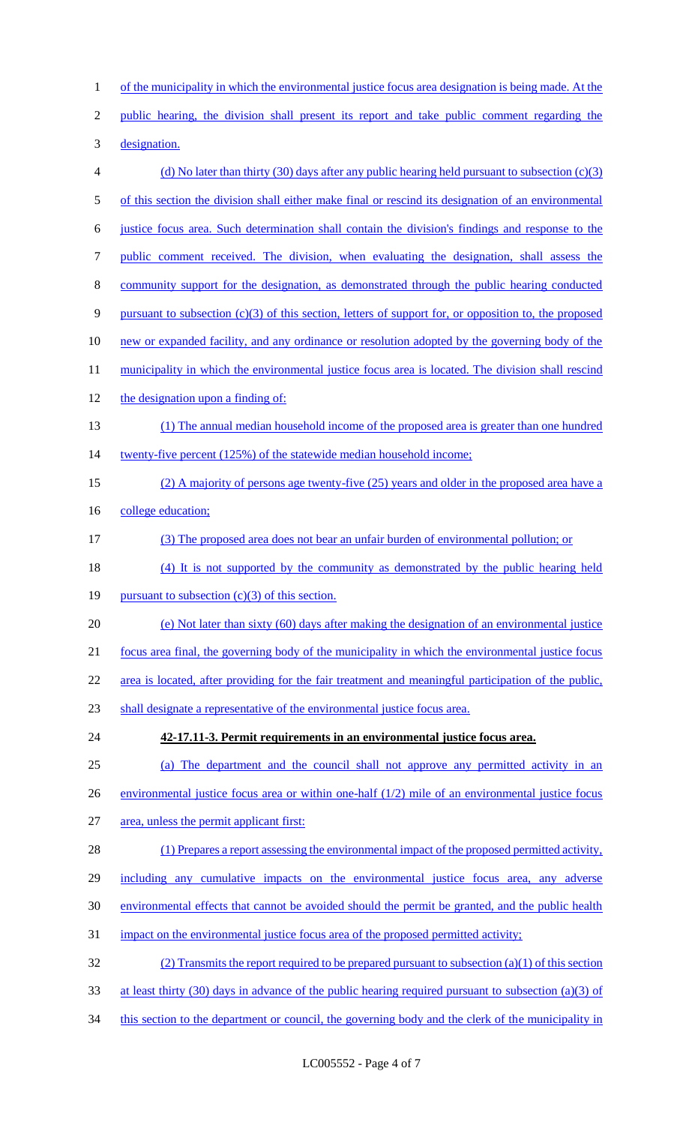1 of the municipality in which the environmental justice focus area designation is being made. At the public hearing, the division shall present its report and take public comment regarding the designation. (d) No later than thirty (30) days after any public hearing held pursuant to subsection (c)(3) of this section the division shall either make final or rescind its designation of an environmental justice focus area. Such determination shall contain the division's findings and response to the public comment received. The division, when evaluating the designation, shall assess the community support for the designation, as demonstrated through the public hearing conducted pursuant to subsection (c)(3) of this section, letters of support for, or opposition to, the proposed 10 new or expanded facility, and any ordinance or resolution adopted by the governing body of the 11 municipality in which the environmental justice focus area is located. The division shall rescind the designation upon a finding of: (1) The annual median household income of the proposed area is greater than one hundred 14 twenty-five percent (125%) of the statewide median household income; (2) A majority of persons age twenty-five (25) years and older in the proposed area have a 16 college education; (3) The proposed area does not bear an unfair burden of environmental pollution; or (4) It is not supported by the community as demonstrated by the public hearing held 19 pursuant to subsection  $(c)(3)$  of this section. (e) Not later than sixty (60) days after making the designation of an environmental justice focus area final, the governing body of the municipality in which the environmental justice focus area is located, after providing for the fair treatment and meaningful participation of the public, shall designate a representative of the environmental justice focus area. **42-17.11-3. Permit requirements in an environmental justice focus area.**  (a) The department and the council shall not approve any permitted activity in an 26 environmental justice focus area or within one-half (1/2) mile of an environmental justice focus 27 area, unless the permit applicant first: 28 (1) Prepares a report assessing the environmental impact of the proposed permitted activity, including any cumulative impacts on the environmental justice focus area, any adverse environmental effects that cannot be avoided should the permit be granted, and the public health impact on the environmental justice focus area of the proposed permitted activity; (2) Transmits the report required to be prepared pursuant to subsection (a)(1) of this section at least thirty (30) days in advance of the public hearing required pursuant to subsection (a)(3) of 34 this section to the department or council, the governing body and the clerk of the municipality in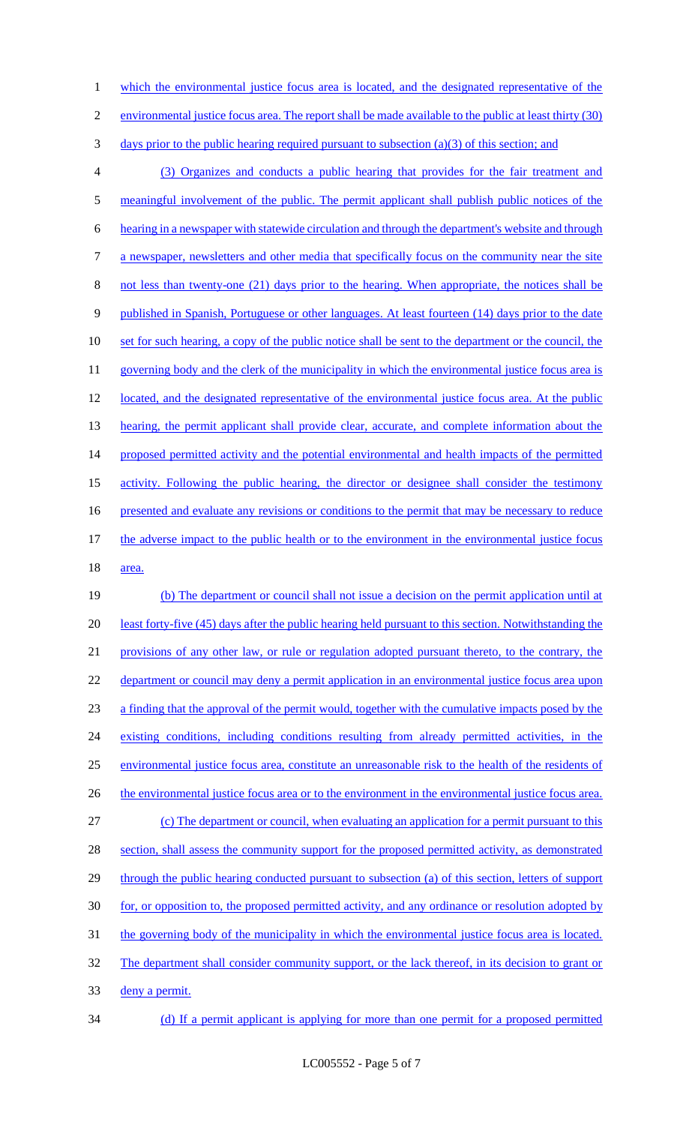1 which the environmental justice focus area is located, and the designated representative of the 2 environmental justice focus area. The report shall be made available to the public at least thirty (30) 3 days prior to the public hearing required pursuant to subsection (a)(3) of this section; and 4 (3) Organizes and conducts a public hearing that provides for the fair treatment and 5 meaningful involvement of the public. The permit applicant shall publish public notices of the 6 hearing in a newspaper with statewide circulation and through the department's website and through 7 a newspaper, newsletters and other media that specifically focus on the community near the site 8 not less than twenty-one (21) days prior to the hearing. When appropriate, the notices shall be 9 published in Spanish, Portuguese or other languages. At least fourteen (14) days prior to the date 10 set for such hearing, a copy of the public notice shall be sent to the department or the council, the 11 governing body and the clerk of the municipality in which the environmental justice focus area is 12 located, and the designated representative of the environmental justice focus area. At the public 13 hearing, the permit applicant shall provide clear, accurate, and complete information about the 14 proposed permitted activity and the potential environmental and health impacts of the permitted 15 activity. Following the public hearing, the director or designee shall consider the testimony 16 presented and evaluate any revisions or conditions to the permit that may be necessary to reduce 17 the adverse impact to the public health or to the environment in the environmental justice focus 18 area. 19 (b) The department or council shall not issue a decision on the permit application until at 20 least forty-five (45) days after the public hearing held pursuant to this section. Notwithstanding the 21 provisions of any other law, or rule or regulation adopted pursuant thereto, to the contrary, the 22 department or council may deny a permit application in an environmental justice focus area upon 23 a finding that the approval of the permit would, together with the cumulative impacts posed by the 24 existing conditions, including conditions resulting from already permitted activities, in the 25 environmental justice focus area, constitute an unreasonable risk to the health of the residents of 26 the environmental justice focus area or to the environment in the environmental justice focus area. 27 (c) The department or council, when evaluating an application for a permit pursuant to this

28 section, shall assess the community support for the proposed permitted activity, as demonstrated 29 through the public hearing conducted pursuant to subsection (a) of this section, letters of support 30 for, or opposition to, the proposed permitted activity, and any ordinance or resolution adopted by 31 the governing body of the municipality in which the environmental justice focus area is located. 32 The department shall consider community support, or the lack thereof, in its decision to grant or 33 deny a permit.

34 (d) If a permit applicant is applying for more than one permit for a proposed permitted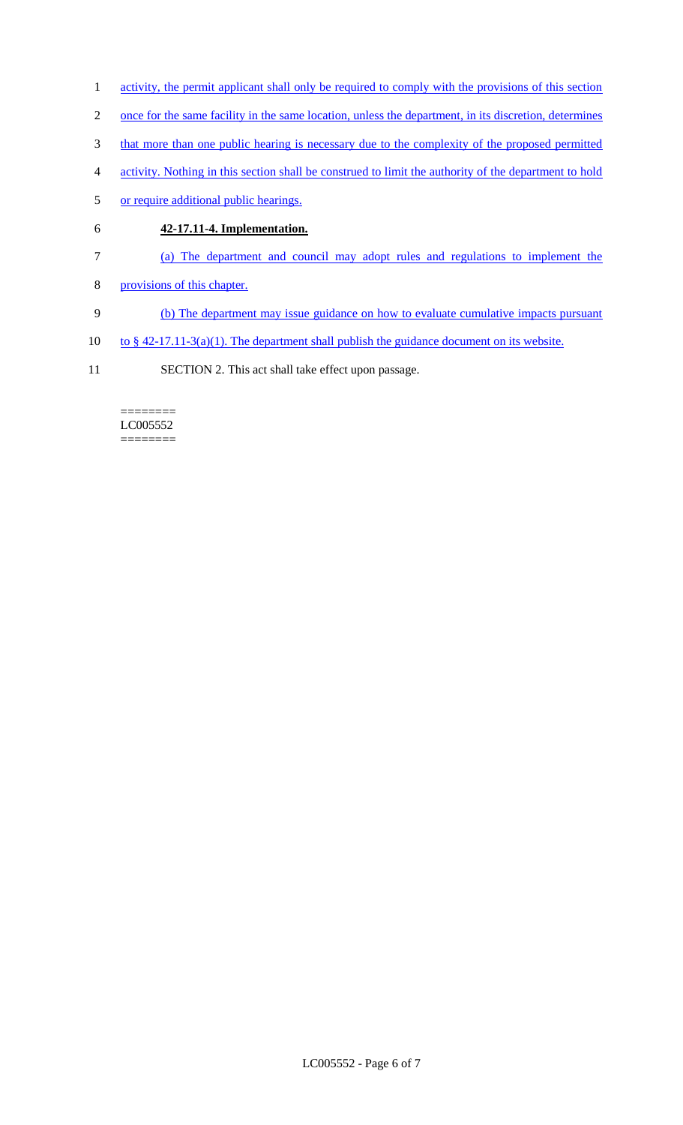- 1 activity, the permit applicant shall only be required to comply with the provisions of this section
- 2 once for the same facility in the same location, unless the department, in its discretion, determines
- 3 that more than one public hearing is necessary due to the complexity of the proposed permitted
- 4 activity. Nothing in this section shall be construed to limit the authority of the department to hold
- 5 or require additional public hearings.
- 6 **42-17.11-4. Implementation.**
- 7 (a) The department and council may adopt rules and regulations to implement the
- 8 provisions of this chapter.
- 9 (b) The department may issue guidance on how to evaluate cumulative impacts pursuant
- 10 to  $§$  42-17.11-3(a)(1). The department shall publish the guidance document on its website.
- 11 SECTION 2. This act shall take effect upon passage.

#### ======== LC005552 ========